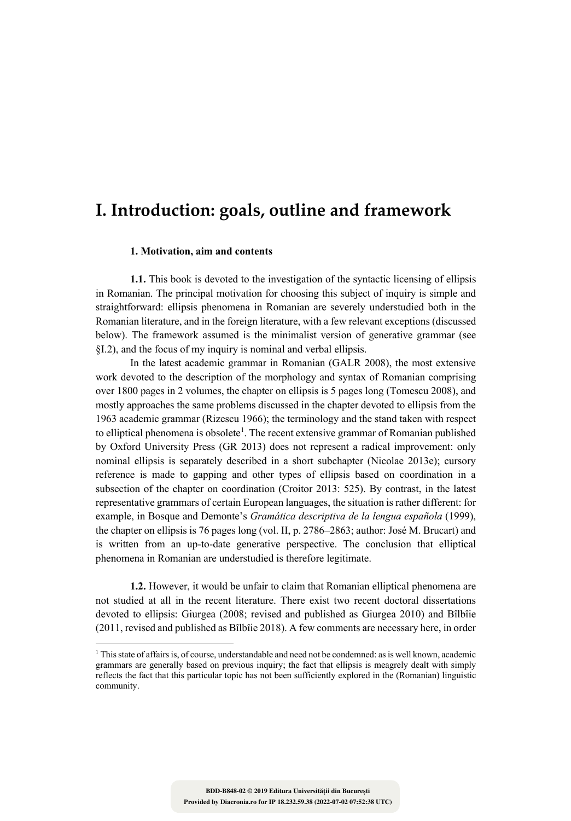# **I. Introduction: goals, outline and framework**

#### **1. Motivation, aim and contents**

**1.1.** This book is devoted to the investigation of the syntactic licensing of ellipsis in Romanian. The principal motivation for choosing this subject of inquiry is simple and straightforward: ellipsis phenomena in Romanian are severely understudied both in the Romanian literature, and in the foreign literature, with a few relevant exceptions (discussed below). The framework assumed is the minimalist version of generative grammar (see §I.2), and the focus of my inquiry is nominal and verbal ellipsis.

In the latest academic grammar in Romanian (GALR 2008), the most extensive work devoted to the description of the morphology and syntax of Romanian comprising over 1800 pages in 2 volumes, the chapter on ellipsis is 5 pages long (Tomescu 2008), and mostly approaches the same problems discussed in the chapter devoted to ellipsis from the 1963 academic grammar (Rizescu 1966); the terminology and the stand taken with respect to elliptical phenomena is obsolete<sup>1</sup>. The recent extensive grammar of Romanian published by Oxford University Press (GR 2013) does not represent a radical improvement: only nominal ellipsis is separately described in a short subchapter (Nicolae 2013e); cursory reference is made to gapping and other types of ellipsis based on coordination in a subsection of the chapter on coordination (Croitor 2013: 525). By contrast, in the latest representative grammars of certain European languages, the situation is rather different: for example, in Bosque and Demonte's *Gramática descriptiva de la lengua española* (1999), the chapter on ellipsis is 76 pages long (vol. II, p. 2786–2863; author: José M. Brucart) and is written from an up-to-date generative perspective. The conclusion that elliptical phenomena in Romanian are understudied is therefore legitimate.

**1.2.** However, it would be unfair to claim that Romanian elliptical phenomena are not studied at all in the recent literature. There exist two recent doctoral dissertations devoted to ellipsis: Giurgea (2008; revised and published as Giurgea 2010) and Bîlbîie (2011, revised and published as Bîlbîie 2018). A few comments are necessary here, in order

<sup>&</sup>lt;sup>1</sup> This state of affairs is, of course, understandable and need not be condemned: as is well known, academic grammars are generally based on previous inquiry; the fact that ellipsis is meagrely dealt with simply reflects the fact that this particular topic has not been sufficiently explored in the (Romanian) linguistic community.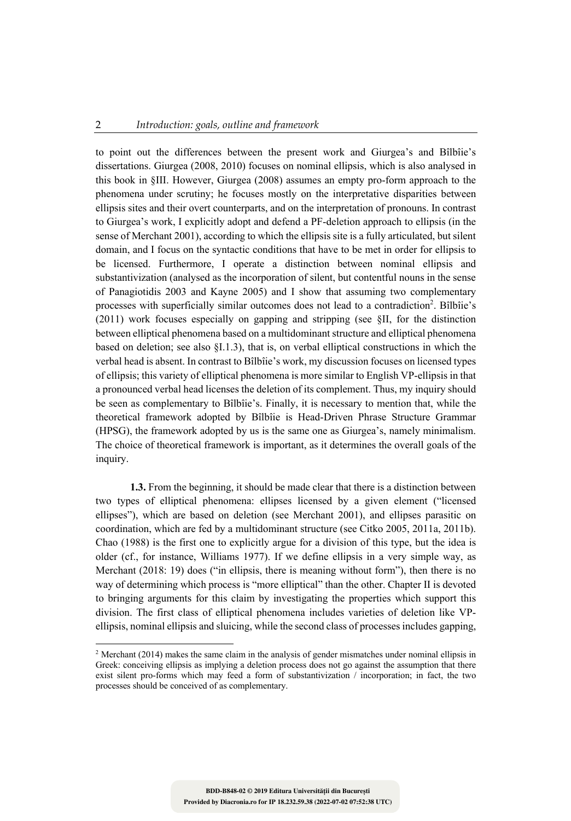to point out the differences between the present work and Giurgea's and Bîlbîie's dissertations. Giurgea (2008, 2010) focuses on nominal ellipsis, which is also analysed in this book in §III. However, Giurgea (2008) assumes an empty pro-form approach to the phenomena under scrutiny; he focuses mostly on the interpretative disparities between ellipsis sites and their overt counterparts, and on the interpretation of pronouns. In contrast to Giurgea's work, I explicitly adopt and defend a PF-deletion approach to ellipsis (in the sense of Merchant 2001), according to which the ellipsis site is a fully articulated, but silent domain, and I focus on the syntactic conditions that have to be met in order for ellipsis to be licensed. Furthermore, I operate a distinction between nominal ellipsis and substantivization (analysed as the incorporation of silent, but contentful nouns in the sense of Panagiotidis 2003 and Kayne 2005) and I show that assuming two complementary processes with superficially similar outcomes does not lead to a contradiction<sup>2</sup>. Bîlbîie's (2011) work focuses especially on gapping and stripping (see §II, for the distinction between elliptical phenomena based on a multidominant structure and elliptical phenomena based on deletion; see also §I.1.3), that is, on verbal elliptical constructions in which the verbal head is absent. In contrast to Bîlbîie's work, my discussion focuses on licensed types of ellipsis; this variety of elliptical phenomena is more similar to English VP-ellipsis in that a pronounced verbal head licenses the deletion of its complement. Thus, my inquiry should be seen as complementary to Bîlbîie's. Finally, it is necessary to mention that, while the theoretical framework adopted by Bîlbîie is Head-Driven Phrase Structure Grammar (HPSG), the framework adopted by us is the same one as Giurgea's, namely minimalism. The choice of theoretical framework is important, as it determines the overall goals of the inquiry.

**1.3.** From the beginning, it should be made clear that there is a distinction between two types of elliptical phenomena: ellipses licensed by a given element ("licensed ellipses"), which are based on deletion (see Merchant 2001), and ellipses parasitic on coordination, which are fed by a multidominant structure (see Citko 2005, 2011a, 2011b). Chao (1988) is the first one to explicitly argue for a division of this type, but the idea is older (cf., for instance, Williams 1977). If we define ellipsis in a very simple way, as Merchant (2018: 19) does ("in ellipsis, there is meaning without form"), then there is no way of determining which process is "more elliptical" than the other. Chapter II is devoted to bringing arguments for this claim by investigating the properties which support this division. The first class of elliptical phenomena includes varieties of deletion like VPellipsis, nominal ellipsis and sluicing, while the second class of processes includes gapping,

 $2$  Merchant (2014) makes the same claim in the analysis of gender mismatches under nominal ellipsis in Greek: conceiving ellipsis as implying a deletion process does not go against the assumption that there exist silent pro-forms which may feed a form of substantivization / incorporation; in fact, the two processes should be conceived of as complementary.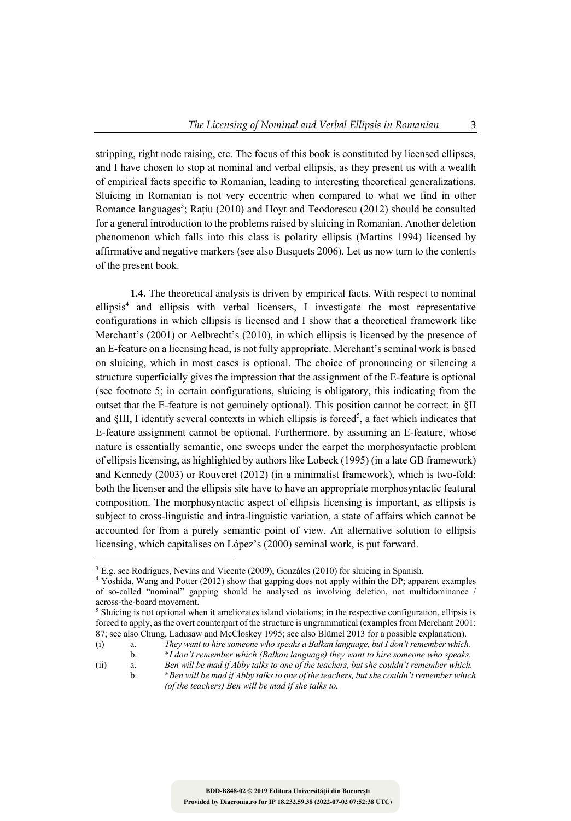stripping, right node raising, etc. The focus of this book is constituted by licensed ellipses, and I have chosen to stop at nominal and verbal ellipsis, as they present us with a wealth of empirical facts specific to Romanian, leading to interesting theoretical generalizations. Sluicing in Romanian is not very eccentric when compared to what we find in other Romance languages<sup>3</sup>; Rațiu (2010) and Hoyt and Teodorescu (2012) should be consulted for a general introduction to the problems raised by sluicing in Romanian. Another deletion phenomenon which falls into this class is polarity ellipsis (Martins 1994) licensed by affirmative and negative markers (see also Busquets 2006). Let us now turn to the contents of the present book.

**1.4.** The theoretical analysis is driven by empirical facts. With respect to nominal ellipsis<sup>4</sup> and ellipsis with verbal licensers, I investigate the most representative configurations in which ellipsis is licensed and I show that a theoretical framework like Merchant's (2001) or Aelbrecht's (2010), in which ellipsis is licensed by the presence of an E-feature on a licensing head, is not fully appropriate. Merchant's seminal work is based on sluicing, which in most cases is optional. The choice of pronouncing or silencing a structure superficially gives the impression that the assignment of the E-feature is optional (see footnote 5; in certain configurations, sluicing is obligatory, this indicating from the outset that the E-feature is not genuinely optional). This position cannot be correct: in §II and §III, I identify several contexts in which ellipsis is forced<sup>5</sup>, a fact which indicates that E-feature assignment cannot be optional. Furthermore, by assuming an E-feature, whose nature is essentially semantic, one sweeps under the carpet the morphosyntactic problem of ellipsis licensing, as highlighted by authors like Lobeck (1995) (in a late GB framework) and Kennedy (2003) or Rouveret (2012) (in a minimalist framework), which is two-fold: both the licenser and the ellipsis site have to have an appropriate morphosyntactic featural composition. The morphosyntactic aspect of ellipsis licensing is important, as ellipsis is subject to cross-linguistic and intra-linguistic variation, a state of affairs which cannot be accounted for from a purely semantic point of view. An alternative solution to ellipsis licensing, which capitalises on López's (2000) seminal work, is put forward.

<sup>&</sup>lt;sup>3</sup> E.g. see Rodrigues, Nevins and Vicente (2009), Gonzáles (2010) for sluicing in Spanish. <sup>4</sup> Yoshida, Wang and Potter (2012) show that gapping does not apply within the DP; apparent examples of so-called "nominal" gapping should be analysed as involving deletion, not multidominance /

 $\delta$  Sluicing is not optional when it ameliorates island violations; in the respective configuration, ellipsis is forced to apply, as the overt counterpart of the structure is ungrammatical (examples from Merchant 2001: 87; see also Chung, Ladusaw and McCloskey 1995; see also Blümel 2013 for a possible explanation). (i) a. *They want to hire someone who speaks a Balkan language, but I don't remember which.*

b. \**I don't remember which (Balkan language) they want to hire someone who speaks.*

<sup>(</sup>ii) a. *Ben will be mad if Abby talks to one of the teachers, but she couldn't remember which.* b. \**Ben will be mad if Abby talks to one of the teachers, but she couldn't remember which (of the teachers) Ben will be mad if she talks to.*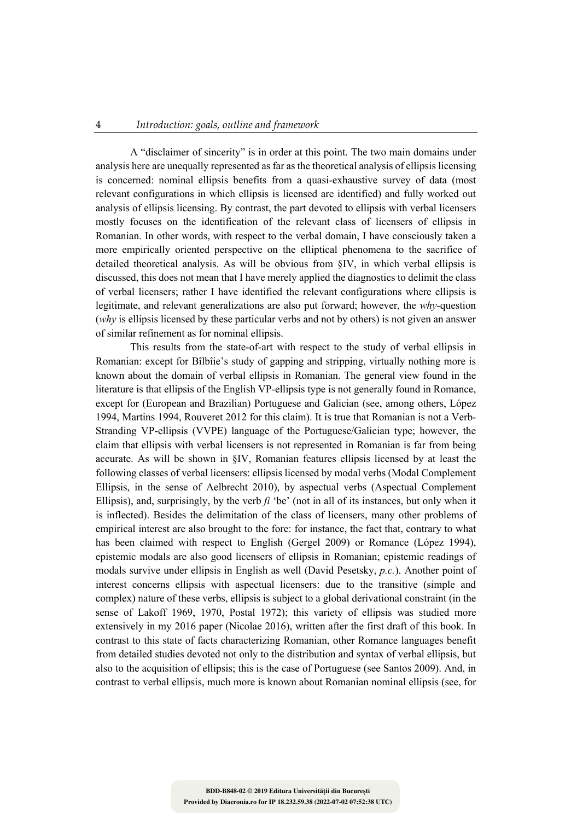A "disclaimer of sincerity" is in order at this point. The two main domains under analysis here are unequally represented as far as the theoretical analysis of ellipsis licensing is concerned: nominal ellipsis benefits from a quasi-exhaustive survey of data (most relevant configurations in which ellipsis is licensed are identified) and fully worked out analysis of ellipsis licensing. By contrast, the part devoted to ellipsis with verbal licensers mostly focuses on the identification of the relevant class of licensers of ellipsis in Romanian. In other words, with respect to the verbal domain, I have consciously taken a more empirically oriented perspective on the elliptical phenomena to the sacrifice of detailed theoretical analysis. As will be obvious from §IV, in which verbal ellipsis is discussed, this does not mean that I have merely applied the diagnostics to delimit the class of verbal licensers; rather I have identified the relevant configurations where ellipsis is legitimate, and relevant generalizations are also put forward; however, the *why*-question (*why* is ellipsis licensed by these particular verbs and not by others) is not given an answer of similar refinement as for nominal ellipsis.

This results from the state-of-art with respect to the study of verbal ellipsis in Romanian: except for Bîlbîie's study of gapping and stripping, virtually nothing more is known about the domain of verbal ellipsis in Romanian. The general view found in the literature is that ellipsis of the English VP-ellipsis type is not generally found in Romance, except for (European and Brazilian) Portuguese and Galician (see, among others, López 1994, Martins 1994, Rouveret 2012 for this claim). It is true that Romanian is not a Verb-Stranding VP-ellipsis (VVPE) language of the Portuguese/Galician type; however, the claim that ellipsis with verbal licensers is not represented in Romanian is far from being accurate. As will be shown in §IV, Romanian features ellipsis licensed by at least the following classes of verbal licensers: ellipsis licensed by modal verbs (Modal Complement Ellipsis, in the sense of Aelbrecht 2010), by aspectual verbs (Aspectual Complement Ellipsis), and, surprisingly, by the verb *fi* 'be' (not in all of its instances, but only when it is inflected). Besides the delimitation of the class of licensers, many other problems of empirical interest are also brought to the fore: for instance, the fact that, contrary to what has been claimed with respect to English (Gergel 2009) or Romance (López 1994), epistemic modals are also good licensers of ellipsis in Romanian; epistemic readings of modals survive under ellipsis in English as well (David Pesetsky, *p.c.*). Another point of interest concerns ellipsis with aspectual licensers: due to the transitive (simple and complex) nature of these verbs, ellipsis is subject to a global derivational constraint (in the sense of Lakoff 1969, 1970, Postal 1972); this variety of ellipsis was studied more extensively in my 2016 paper (Nicolae 2016), written after the first draft of this book. In contrast to this state of facts characterizing Romanian, other Romance languages benefit from detailed studies devoted not only to the distribution and syntax of verbal ellipsis, but also to the acquisition of ellipsis; this is the case of Portuguese (see Santos 2009). And, in contrast to verbal ellipsis, much more is known about Romanian nominal ellipsis (see, for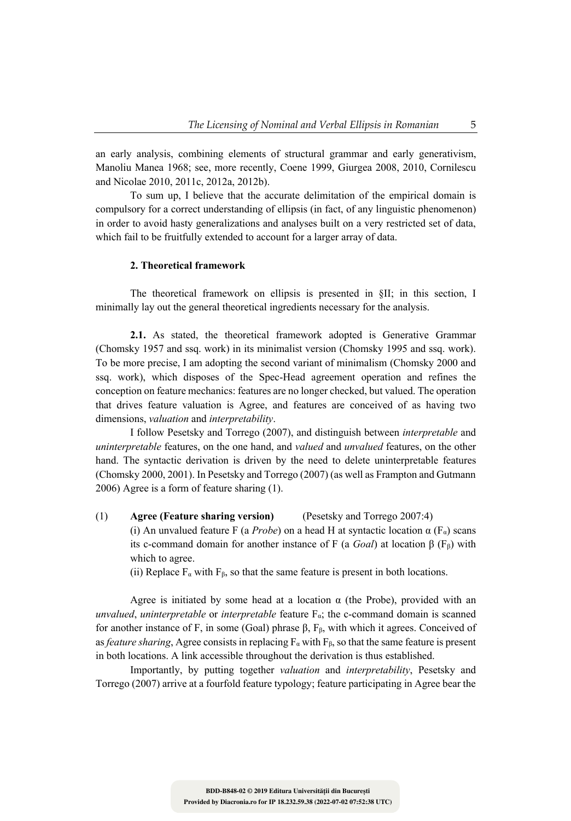an early analysis, combining elements of structural grammar and early generativism, Manoliu Manea 1968; see, more recently, Coene 1999, Giurgea 2008, 2010, Cornilescu and Nicolae 2010, 2011c, 2012a, 2012b).

To sum up, I believe that the accurate delimitation of the empirical domain is compulsory for a correct understanding of ellipsis (in fact, of any linguistic phenomenon) in order to avoid hasty generalizations and analyses built on a very restricted set of data, which fail to be fruitfully extended to account for a larger array of data.

#### **2. Theoretical framework**

The theoretical framework on ellipsis is presented in §II; in this section, I minimally lay out the general theoretical ingredients necessary for the analysis.

**2.1.** As stated, the theoretical framework adopted is Generative Grammar (Chomsky 1957 and ssq. work) in its minimalist version (Chomsky 1995 and ssq. work). To be more precise, I am adopting the second variant of minimalism (Chomsky 2000 and ssq. work), which disposes of the Spec-Head agreement operation and refines the conception on feature mechanics: features are no longer checked, but valued. The operation that drives feature valuation is Agree, and features are conceived of as having two dimensions, *valuation* and *interpretability*.

I follow Pesetsky and Torrego (2007), and distinguish between *interpretable* and *uninterpretable* features, on the one hand, and *valued* and *unvalued* features, on the other hand. The syntactic derivation is driven by the need to delete uninterpretable features (Chomsky 2000, 2001). In Pesetsky and Torrego (2007) (as well as Frampton and Gutmann 2006) Agree is a form of feature sharing (1).

(1) **Agree (Feature sharing version)** (Pesetsky and Torrego 2007:4) (i) An unvalued feature F (a *Probe*) on a head H at syntactic location  $\alpha$  (F<sub>α</sub>) scans its c-command domain for another instance of F (a *Goal*) at location  $β$  (F<sub>β</sub>) with which to agree.

(ii) Replace  $F_{\alpha}$  with  $F_{\beta}$ , so that the same feature is present in both locations.

Agree is initiated by some head at a location  $\alpha$  (the Probe), provided with an *unvalued*, *uninterpretable* or *interpretable* feature  $F_{\alpha}$ ; the c-command domain is scanned for another instance of F, in some (Goal) phrase  $β$ ,  $F<sub>β</sub>$ , with which it agrees. Conceived of as *feature sharing*, Agree consists in replacing  $F_{\alpha}$  with  $F_{\beta}$ , so that the same feature is present in both locations. A link accessible throughout the derivation is thus established.

Importantly, by putting together *valuation* and *interpretability*, Pesetsky and Torrego (2007) arrive at a fourfold feature typology; feature participating in Agree bear the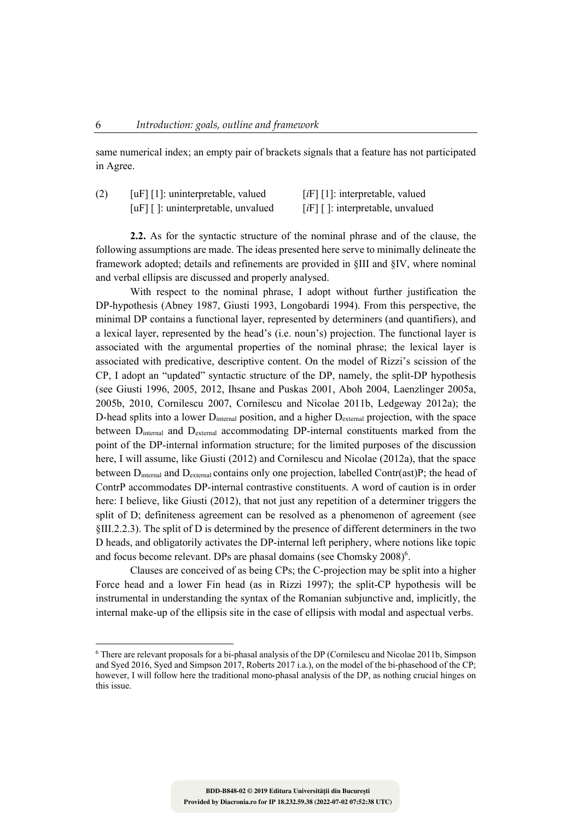same numerical index; an empty pair of brackets signals that a feature has not participated in Agree.

| (2) | [ $\mu$ F] [1]: uninterpretable, valued              | [ $i$ F] [1]: interpretable, valued |  |  |
|-----|------------------------------------------------------|-------------------------------------|--|--|
|     | $\lceil u \rceil \rceil$ : uninterpretable, unvalued | $[iF]$ : interpretable, unvalued    |  |  |

**2.2.** As for the syntactic structure of the nominal phrase and of the clause, the following assumptions are made. The ideas presented here serve to minimally delineate the framework adopted; details and refinements are provided in §III and §IV, where nominal and verbal ellipsis are discussed and properly analysed.

With respect to the nominal phrase, I adopt without further justification the DP-hypothesis (Abney 1987, Giusti 1993, Longobardi 1994). From this perspective, the minimal DP contains a functional layer, represented by determiners (and quantifiers), and a lexical layer, represented by the head's (i.e. noun's) projection. The functional layer is associated with the argumental properties of the nominal phrase; the lexical layer is associated with predicative, descriptive content. On the model of Rizzi's scission of the CP, I adopt an "updated" syntactic structure of the DP, namely, the split-DP hypothesis (see Giusti 1996, 2005, 2012, Ihsane and Puskas 2001, Aboh 2004, Laenzlinger 2005a, 2005b, 2010, Cornilescu 2007, Cornilescu and Nicolae 2011b, Ledgeway 2012a); the D-head splits into a lower D<sub>internal</sub> position, and a higher D<sub>external</sub> projection, with the space between D<sub>internal</sub> and D<sub>external</sub> accommodating DP-internal constituents marked from the point of the DP-internal information structure; for the limited purposes of the discussion here, I will assume, like Giusti (2012) and Cornilescu and Nicolae (2012a), that the space between  $D_{\text{internal}}$  and  $D_{\text{external}}$  contains only one projection, labelled Contr(ast)P; the head of ContrP accommodates DP-internal contrastive constituents. A word of caution is in order here: I believe, like Giusti (2012), that not just any repetition of a determiner triggers the split of D; definiteness agreement can be resolved as a phenomenon of agreement (see §III.2.2.3). The split of D is determined by the presence of different determiners in the two D heads, and obligatorily activates the DP-internal left periphery, where notions like topic and focus become relevant. DPs are phasal domains (see Chomsky  $2008$ <sup>6</sup>.

Clauses are conceived of as being CPs; the C-projection may be split into a higher Force head and a lower Fin head (as in Rizzi 1997); the split-CP hypothesis will be instrumental in understanding the syntax of the Romanian subjunctive and, implicitly, the internal make-up of the ellipsis site in the case of ellipsis with modal and aspectual verbs.

<sup>6</sup> There are relevant proposals for a bi-phasal analysis of the DP (Cornilescu and Nicolae 2011b, Simpson and Syed 2016, Syed and Simpson 2017, Roberts 2017 i.a.), on the model of the bi-phasehood of the CP; however, I will follow here the traditional mono-phasal analysis of the DP, as nothing crucial hinges on this issue.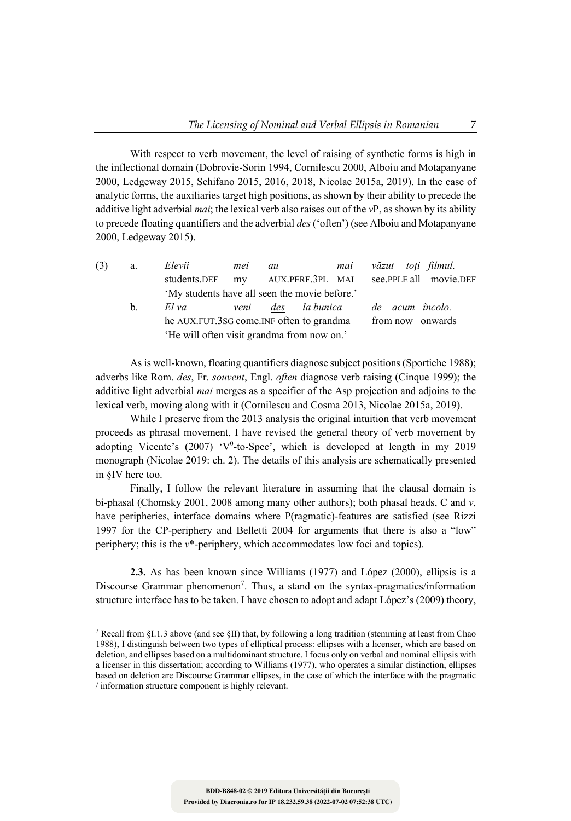With respect to verb movement, the level of raising of synthetic forms is high in the inflectional domain (Dobrovie-Sorin 1994, Cornilescu 2000, Alboiu and Motapanyane 2000, Ledgeway 2015, Schifano 2015, 2016, 2018, Nicolae 2015a, 2019). In the case of analytic forms, the auxiliaries target high positions, as shown by their ability to precede the additive light adverbial *mai*; the lexical verb also raises out of the *v*P, as shown by its ability to precede floating quantifiers and the adverbial *des* ('often') (see Alboiu and Motapanyane 2000, Ledgeway 2015).

| (3) | a.             | Elevii                                     | mei                                           | au |                  | mai |  | văzut <u>toti</u> filmul.                  |  |
|-----|----------------|--------------------------------------------|-----------------------------------------------|----|------------------|-----|--|--------------------------------------------|--|
|     |                | students.DEF                               |                                               |    |                  |     |  | my AUX.PERF.3PL MAI see.PPLE all movie.DEF |  |
|     |                |                                            | 'My students have all seen the movie before.' |    |                  |     |  |                                            |  |
|     | $\mathbf{b}$ . | El va                                      | veni                                          |    |                  |     |  | des la bunica de acum încolo.              |  |
|     |                | he AUX.FUT.3SG come.INF often to grandma   |                                               |    | from now onwards |     |  |                                            |  |
|     |                | 'He will often visit grandma from now on.' |                                               |    |                  |     |  |                                            |  |
|     |                |                                            |                                               |    |                  |     |  |                                            |  |

As is well-known, floating quantifiers diagnose subject positions (Sportiche 1988); adverbs like Rom. *des*, Fr. *souvent*, Engl. *often* diagnose verb raising (Cinque 1999); the additive light adverbial *mai* merges as a specifier of the Asp projection and adjoins to the lexical verb, moving along with it (Cornilescu and Cosma 2013, Nicolae 2015a, 2019).

While I preserve from the 2013 analysis the original intuition that verb movement proceeds as phrasal movement, I have revised the general theory of verb movement by adopting Vicente's (2007) 'V<sup>0</sup>-to-Spec', which is developed at length in my 2019 monograph (Nicolae 2019: ch. 2). The details of this analysis are schematically presented in §IV here too.

Finally, I follow the relevant literature in assuming that the clausal domain is bi-phasal (Chomsky 2001, 2008 among many other authors); both phasal heads, C and *v*, have peripheries, interface domains where P(ragmatic)-features are satisfied (see Rizzi 1997 for the CP-periphery and Belletti 2004 for arguments that there is also a "low" periphery; this is the *v*\*-periphery, which accommodates low foci and topics).

**2.3.** As has been known since Williams (1977) and López (2000), ellipsis is a Discourse Grammar phenomenon<sup>7</sup>. Thus, a stand on the syntax-pragmatics/information structure interface has to be taken. I have chosen to adopt and adapt López's (2009) theory,

<sup>7</sup> Recall from §I.1.3 above (and see §II) that, by following a long tradition (stemming at least from Chao 1988), I distinguish between two types of elliptical process: ellipses with a licenser, which are based on deletion, and ellipses based on a multidominant structure. I focus only on verbal and nominal ellipsis with a licenser in this dissertation; according to Williams (1977), who operates a similar distinction, ellipses based on deletion are Discourse Grammar ellipses, in the case of which the interface with the pragmatic / information structure component is highly relevant.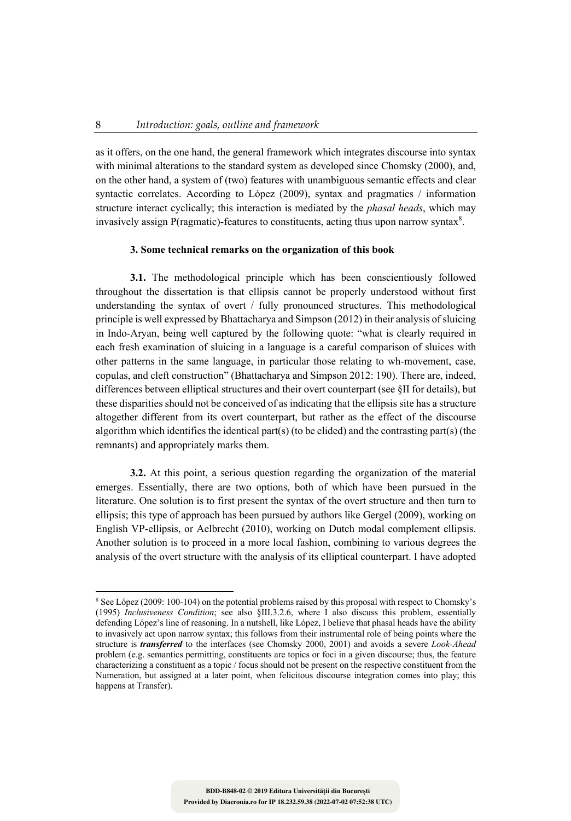as it offers, on the one hand, the general framework which integrates discourse into syntax with minimal alterations to the standard system as developed since Chomsky (2000), and, on the other hand, a system of (two) features with unambiguous semantic effects and clear syntactic correlates. According to López (2009), syntax and pragmatics / information structure interact cyclically; this interaction is mediated by the *phasal heads*, which may invasively assign P(ragmatic)-features to constituents, acting thus upon narrow syntax $8$ .

### **3. Some technical remarks on the organization of this book**

**3.1.** The methodological principle which has been conscientiously followed throughout the dissertation is that ellipsis cannot be properly understood without first understanding the syntax of overt / fully pronounced structures. This methodological principle is well expressed by Bhattacharya and Simpson (2012) in their analysis of sluicing in Indo-Aryan, being well captured by the following quote: "what is clearly required in each fresh examination of sluicing in a language is a careful comparison of sluices with other patterns in the same language, in particular those relating to wh-movement, case, copulas, and cleft construction" (Bhattacharya and Simpson 2012: 190). There are, indeed, differences between elliptical structures and their overt counterpart (see §II for details), but these disparities should not be conceived of as indicating that the ellipsis site has a structure altogether different from its overt counterpart, but rather as the effect of the discourse algorithm which identifies the identical part(s) (to be elided) and the contrasting part(s) (the remnants) and appropriately marks them.

**3.2.** At this point, a serious question regarding the organization of the material emerges. Essentially, there are two options, both of which have been pursued in the literature. One solution is to first present the syntax of the overt structure and then turn to ellipsis; this type of approach has been pursued by authors like Gergel (2009), working on English VP-ellipsis, or Aelbrecht (2010), working on Dutch modal complement ellipsis. Another solution is to proceed in a more local fashion, combining to various degrees the analysis of the overt structure with the analysis of its elliptical counterpart. I have adopted

<sup>8</sup> See López (2009: 100-104) on the potential problems raised by this proposal with respect to Chomsky's (1995) *Inclusiveness Condition*; see also §III.3.2.6, where I also discuss this problem, essentially defending López's line of reasoning. In a nutshell, like López, I believe that phasal heads have the ability to invasively act upon narrow syntax; this follows from their instrumental role of being points where the structure is *transferred* to the interfaces (see Chomsky 2000, 2001) and avoids a severe *Look-Ahead* problem (e.g. semantics permitting, constituents are topics or foci in a given discourse; thus, the feature characterizing a constituent as a topic / focus should not be present on the respective constituent from the Numeration, but assigned at a later point, when felicitous discourse integration comes into play; this happens at Transfer).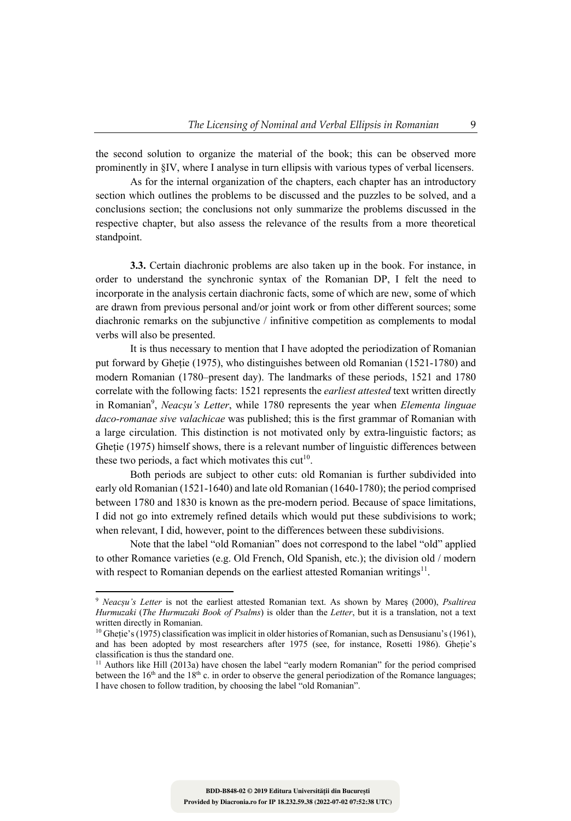the second solution to organize the material of the book; this can be observed more prominently in §IV, where I analyse in turn ellipsis with various types of verbal licensers.

As for the internal organization of the chapters, each chapter has an introductory section which outlines the problems to be discussed and the puzzles to be solved, and a conclusions section; the conclusions not only summarize the problems discussed in the respective chapter, but also assess the relevance of the results from a more theoretical standpoint.

**3.3.** Certain diachronic problems are also taken up in the book. For instance, in order to understand the synchronic syntax of the Romanian DP, I felt the need to incorporate in the analysis certain diachronic facts, some of which are new, some of which are drawn from previous personal and/or joint work or from other different sources; some diachronic remarks on the subjunctive / infinitive competition as complements to modal verbs will also be presented.

It is thus necessary to mention that I have adopted the periodization of Romanian put forward by Gheție (1975), who distinguishes between old Romanian (1521-1780) and modern Romanian (1780–present day). The landmarks of these periods, 1521 and 1780 correlate with the following facts: 1521 represents the *earliest attested* text written directly in Romanian<sup>9</sup>, *Neacșu's Letter*, while 1780 represents the year when *Elementa linguae daco-romanae sive valachicae* was published; this is the first grammar of Romanian with a large circulation. This distinction is not motivated only by extra-linguistic factors; as Gheție (1975) himself shows, there is a relevant number of linguistic differences between these two periods, a fact which motivates this  $cut<sup>10</sup>$ .

Both periods are subject to other cuts: old Romanian is further subdivided into early old Romanian (1521-1640) and late old Romanian (1640-1780); the period comprised between 1780 and 1830 is known as the pre-modern period. Because of space limitations, I did not go into extremely refined details which would put these subdivisions to work; when relevant, I did, however, point to the differences between these subdivisions.

Note that the label "old Romanian" does not correspond to the label "old" applied to other Romance varieties (e.g. Old French, Old Spanish, etc.); the division old / modern with respect to Romanian depends on the earliest attested Romanian writings<sup>11</sup>.

<sup>9</sup> *Neacșu's Letter* is not the earliest attested Romanian text. As shown by Mareș (2000), *Psaltirea Hurmuzaki* (*The Hurmuzaki Book of Psalms*) is older than the *Letter*, but it is a translation, not a text written directly in Romanian.

<sup>&</sup>lt;sup>10</sup> Gheție's (1975) classification was implicit in older histories of Romanian, such as Densusianu's (1961), and has been adopted by most researchers after 1975 (see, for instance, Rosetti 1986). Gheție's classification is thus the standard one.

<sup>&</sup>lt;sup>11</sup> Authors like Hill (2013a) have chosen the label "early modern Romanian" for the period comprised between the  $16<sup>th</sup>$  and the  $18<sup>th</sup>$  c. in order to observe the general periodization of the Romance languages; I have chosen to follow tradition, by choosing the label "old Romanian".